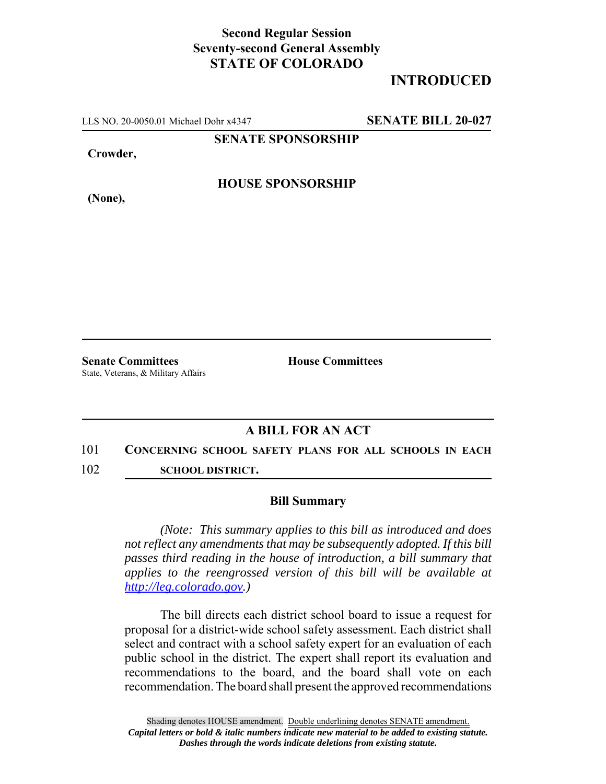## **Second Regular Session Seventy-second General Assembly STATE OF COLORADO**

# **INTRODUCED**

LLS NO. 20-0050.01 Michael Dohr x4347 **SENATE BILL 20-027**

**SENATE SPONSORSHIP**

**Crowder,**

**(None),**

**HOUSE SPONSORSHIP**

**Senate Committees House Committees** State, Veterans, & Military Affairs

### **A BILL FOR AN ACT**

#### 101 **CONCERNING SCHOOL SAFETY PLANS FOR ALL SCHOOLS IN EACH**

102 **SCHOOL DISTRICT.**

#### **Bill Summary**

*(Note: This summary applies to this bill as introduced and does not reflect any amendments that may be subsequently adopted. If this bill passes third reading in the house of introduction, a bill summary that applies to the reengrossed version of this bill will be available at http://leg.colorado.gov.)*

The bill directs each district school board to issue a request for proposal for a district-wide school safety assessment. Each district shall select and contract with a school safety expert for an evaluation of each public school in the district. The expert shall report its evaluation and recommendations to the board, and the board shall vote on each recommendation. The board shall present the approved recommendations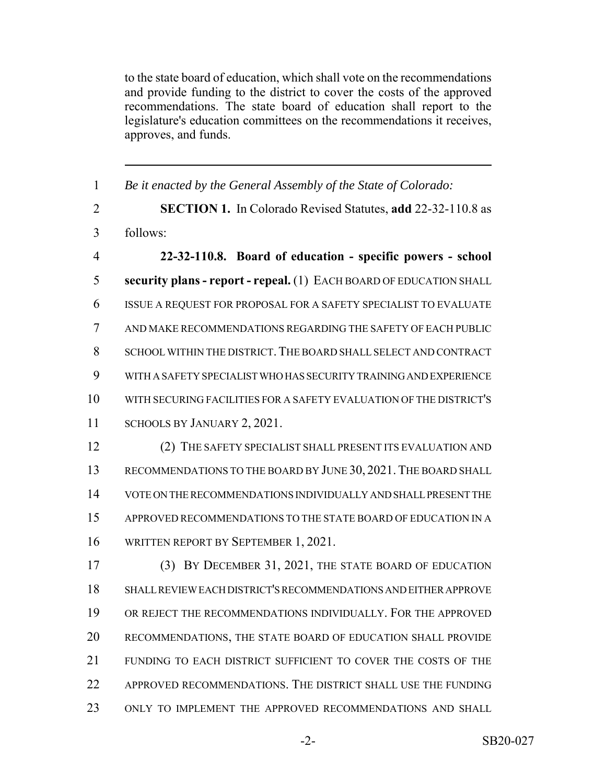to the state board of education, which shall vote on the recommendations and provide funding to the district to cover the costs of the approved recommendations. The state board of education shall report to the legislature's education committees on the recommendations it receives, approves, and funds.

| $\mathbf{1}$   | Be it enacted by the General Assembly of the State of Colorado:     |
|----------------|---------------------------------------------------------------------|
| $\overline{2}$ | SECTION 1. In Colorado Revised Statutes, add 22-32-110.8 as         |
| 3              | follows:                                                            |
| $\overline{4}$ | 22-32-110.8. Board of education - specific powers - school          |
| 5              | security plans - report - repeal. (1) EACH BOARD OF EDUCATION SHALL |
| 6              | ISSUE A REQUEST FOR PROPOSAL FOR A SAFETY SPECIALIST TO EVALUATE    |
| 7              | AND MAKE RECOMMENDATIONS REGARDING THE SAFETY OF EACH PUBLIC        |
| 8              | SCHOOL WITHIN THE DISTRICT. THE BOARD SHALL SELECT AND CONTRACT     |
| 9              | WITH A SAFETY SPECIALIST WHO HAS SECURITY TRAINING AND EXPERIENCE   |
| 10             | WITH SECURING FACILITIES FOR A SAFETY EVALUATION OF THE DISTRICT'S  |
| 11             | SCHOOLS BY JANUARY 2, 2021.                                         |
| 12             | (2) THE SAFETY SPECIALIST SHALL PRESENT ITS EVALUATION AND          |
| 13             | RECOMMENDATIONS TO THE BOARD BY JUNE 30, 2021. THE BOARD SHALL      |
| 14             | VOTE ON THE RECOMMENDATIONS INDIVIDUALLY AND SHALL PRESENT THE      |
| 15             | APPROVED RECOMMENDATIONS TO THE STATE BOARD OF EDUCATION IN A       |
| 16             | WRITTEN REPORT BY SEPTEMBER 1, 2021.                                |
| 17             | (3) BY DECEMBER 31, 2021, THE STATE BOARD OF EDUCATION              |
| 18             | SHALL REVIEW EACH DISTRICT'S RECOMMENDATIONS AND EITHER APPROVE     |
| 19             | OR REJECT THE RECOMMENDATIONS INDIVIDUALLY. FOR THE APPROVED        |
| 20             | RECOMMENDATIONS, THE STATE BOARD OF EDUCATION SHALL PROVIDE         |
| 21             | FUNDING TO EACH DISTRICT SUFFICIENT TO COVER THE COSTS OF THE       |
| 22             | APPROVED RECOMMENDATIONS. THE DISTRICT SHALL USE THE FUNDING        |
| 23             | ONLY TO IMPLEMENT THE APPROVED RECOMMENDATIONS AND SHALL            |